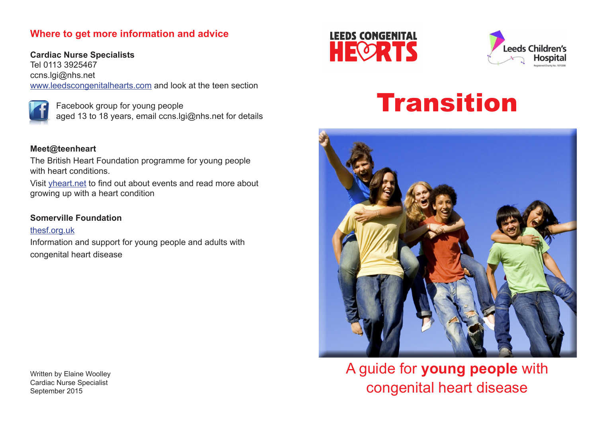# **Where to get more information and advice**

**Cardiac Nurse Specialists** Tel 0113 3925467 ccns.lgi@nhs.net www.leedscongenitalhearts.com and look at the teen section

 Facebook group for young people aged 13 to 18 years, email ccns.lgi@nhs.net for details

## **Meet@teenheart**

The British Heart Foundation programme for young people with heart conditions.

Visit yheart.net to find out about events and read more about growing up with a heart condition

## **Somerville Foundation**

thesf.org.uk Information and support for young people and adults with congenital heart disease

Written by Elaine Woolley Cardiac Nurse Specialist September 2015





# Transition



A guide for **young people** with congenital heart disease